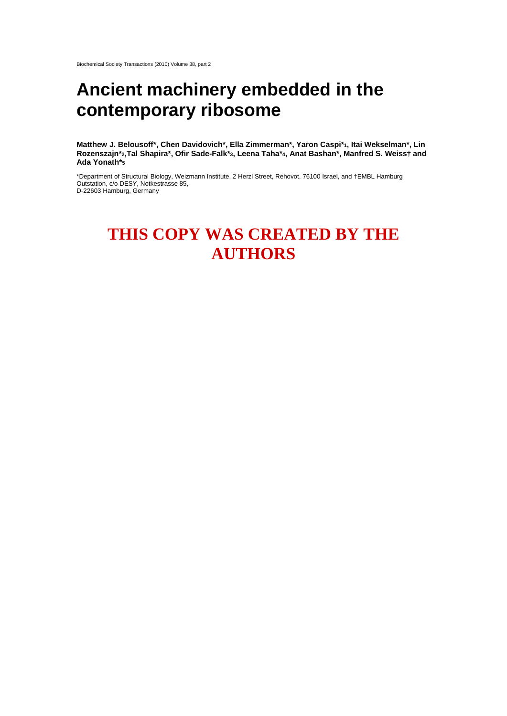# **Ancient machinery embedded in the contemporary ribosome**

**Matthew J. Belousoff\*, Chen Davidovich\*, Ella Zimmerman\*, Yaron Caspi\*1, Itai Wekselman\*, Lin Rozenszajn\*2,Tal Shapira\*, Ofir Sade-Falk\*3, Leena Taha\*4, Anat Bashan\*, Manfred S. Weiss† and Ada Yonath\*5** 

\*Department of Structural Biology, Weizmann Institute, 2 Herzl Street, Rehovot, 76100 Israel, and †EMBL Hamburg Outstation, c/o DESY, Notkestrasse 85, D-22603 Hamburg, Germany

## **THIS COPY WAS CREATED BY THE AUTHORS**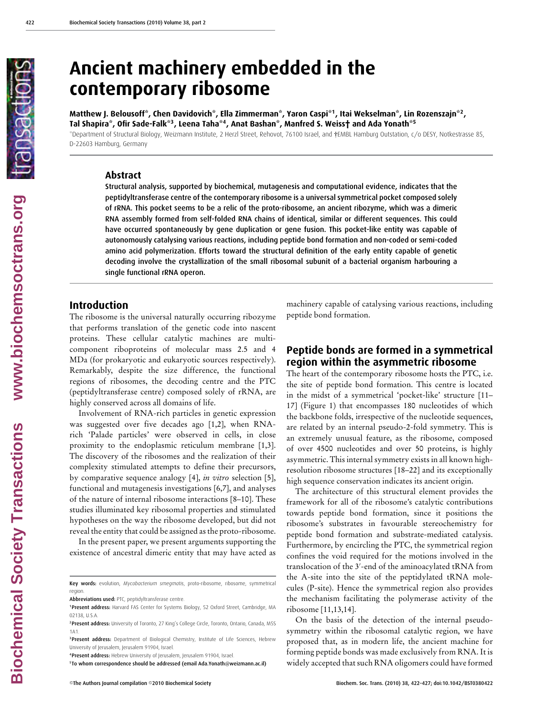# **Ancient machinery embedded in the contemporary ribosome**

**Matthew J. Belousoff\*, Chen Davidovich\*, Ella Zimmerman\*, Yaron Caspi\*1, Itai Wekselman\*, Lin Rozenszajn\*2, Tal Shapira\*, Ofir Sade-Falk\*3, Leena Taha\*4, Anat Bashan\*, Manfred S. Weiss† and Ada Yonath\*5**

\*Department of Structural Biology, Weizmann Institute, 2 Herzl Street, Rehovot, 76100 Israel, and †EMBL Hamburg Outstation, c/o DESY, Notkestrasse 85, D-22603 Hamburg, Germany

#### **Abstract**

Structural analysis, supported by biochemical, mutagenesis and computational evidence, indicates that the peptidyltransferase centre of the contemporary ribosome is a universal symmetrical pocket composed solely of rRNA. This pocket seems to be a relic of the proto-ribosome, an ancient ribozyme, which was a dimeric RNA assembly formed from self-folded RNA chains of identical, similar or different sequences. This could have occurred spontaneously by gene duplication or gene fusion. This pocket-like entity was capable of autonomously catalysing various reactions, including peptide bond formation and non-coded or semi-coded amino acid polymerization. Efforts toward the structural definition of the early entity capable of genetic decoding involve the crystallization of the small ribosomal subunit of a bacterial organism harbouring a single functional rRNA operon.

#### **Introduction**

The ribosome is the universal naturally occurring ribozyme that performs translation of the genetic code into nascent proteins. These cellular catalytic machines are multicomponent riboproteins of molecular mass 2.5 and 4 MDa (for prokaryotic and eukaryotic sources respectively). Remarkably, despite the size difference, the functional regions of ribosomes, the decoding centre and the PTC (peptidyltransferase centre) composed solely of rRNA, are highly conserved across all domains of life.

Involvement of RNA-rich particles in genetic expression was suggested over five decades ago [1,2], when RNArich 'Palade particles' were observed in cells, in close proximity to the endoplasmic reticulum membrane [1,3]. The discovery of the ribosomes and the realization of their complexity stimulated attempts to define their precursors, by comparative sequence analogy [4], *in vitro* selection [5], functional and mutagenesis investigations [6,7], and analyses of the nature of internal ribosome interactions [8–10]. These studies illuminated key ribosomal properties and stimulated hypotheses on the way the ribosome developed, but did not reveal the entity that could be assigned as the proto-ribosome.

In the present paper, we present arguments supporting the existence of ancestral dimeric entity that may have acted as

machinery capable of catalysing various reactions, including peptide bond formation.

## **Peptide bonds are formed in a symmetrical region within the asymmetric ribosome**

The heart of the contemporary ribosome hosts the PTC, i.e. the site of peptide bond formation. This centre is located in the midst of a symmetrical 'pocket-like' structure [11– 17] (Figure 1) that encompasses 180 nucleotides of which the backbone folds, irrespective of the nucleotide sequences, are related by an internal pseudo-2-fold symmetry. This is an extremely unusual feature, as the ribosome, composed of over 4500 nucleotides and over 50 proteins, is highly asymmetric. This internal symmetry exists in all known highresolution ribosome structures [18–22] and its exceptionally high sequence conservation indicates its ancient origin.

The architecture of this structural element provides the framework for all of the ribosome's catalytic contributions towards peptide bond formation, since it positions the ribosome's substrates in favourable stereochemistry for peptide bond formation and substrate-mediated catalysis. Furthermore, by encircling the PTC, the symmetrical region confines the void required for the motions involved in the translocation of the 3'-end of the aminoacylated tRNA from the A-site into the site of the peptidylated tRNA molecules (P-site). Hence the symmetrical region also provides the mechanism facilitating the polymerase activity of the ribosome [11,13,14].

On the basis of the detection of the internal pseudosymmetry within the ribosomal catalytic region, we have proposed that, as in modern life, the ancient machine for forming peptide bonds was made exclusively from RNA. It is widely accepted that such RNA oligomers could have formed

Key words: evolution, *Mycobacterium smegmatis*, proto-ribosome, ribosome, symmetrical region.

Abbreviations used: PTC, peptidyltransferase centre.

<sup>&</sup>lt;sup>1</sup> Present address: Harvard FAS Center for Systems Biology, 52 Oxford Street, Cambridge, MA 02138, U.S.A.

<sup>&</sup>lt;sup>2</sup> Present address: University of Toronto, 27 King's College Circle, Toronto, Ontario, Canada, M5S 1A1.

<sup>&</sup>lt;sup>3</sup>Present address: Department of Biological Chemistry, Institute of Life Sciences, Hebrew University of Jerusalem, Jerusalem 91904, Israel.

<sup>&</sup>lt;sup>4</sup> Present address: Hebrew University of Jerusalem, Jerusalem 91904, Israel.

<sup>5</sup> To whom correspondence should be addressed (email Ada.Yonath@weizmann.ac.il)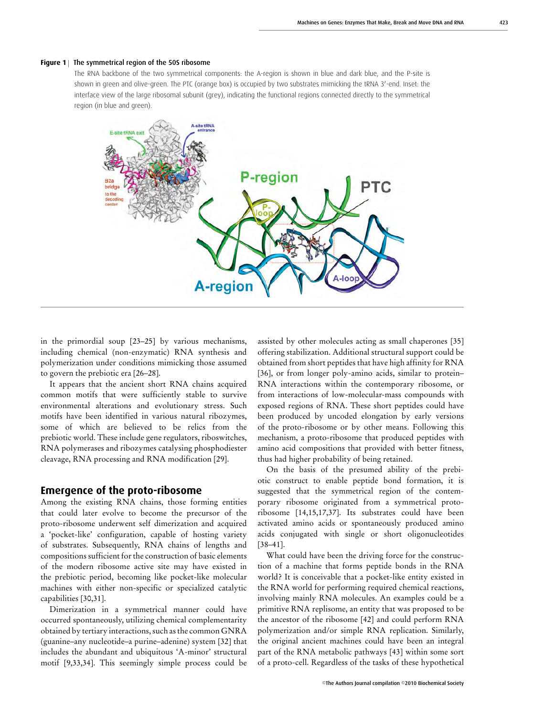#### **Figure 1** | The symmetrical region of the 50S ribosome

The RNA backbone of the two symmetrical components: the A-region is shown in blue and dark blue, and the P-site is shown in green and olive-green. The PTC (orange box) is occupied by two substrates mimicking the tRNA 3'-end. Inset: the interface view of the large ribosomal subunit (grey), indicating the functional regions connected directly to the symmetrical region (in blue and green).



in the primordial soup [23–25] by various mechanisms, including chemical (non-enzymatic) RNA synthesis and polymerization under conditions mimicking those assumed to govern the prebiotic era [26–28].

It appears that the ancient short RNA chains acquired common motifs that were sufficiently stable to survive environmental alterations and evolutionary stress. Such motifs have been identified in various natural ribozymes, some of which are believed to be relics from the prebiotic world. These include gene regulators, riboswitches, RNA polymerases and ribozymes catalysing phosphodiester cleavage, RNA processing and RNA modification [29].

#### **Emergence of the proto-ribosome**

Among the existing RNA chains, those forming entities that could later evolve to become the precursor of the proto-ribosome underwent self dimerization and acquired a 'pocket-like' configuration, capable of hosting variety of substrates. Subsequently, RNA chains of lengths and compositions sufficient for the construction of basic elements of the modern ribosome active site may have existed in the prebiotic period, becoming like pocket-like molecular machines with either non-specific or specialized catalytic capabilities [30,31].

Dimerization in a symmetrical manner could have occurred spontaneously, utilizing chemical complementarity obtained by tertiary interactions, such as the common GNRA (guanine–any nucleotide–a purine–adenine) system [32] that includes the abundant and ubiquitous 'A-minor' structural motif [9,33,34]. This seemingly simple process could be assisted by other molecules acting as small chaperones [35] offering stabilization. Additional structural support could be obtained from short peptides that have high affinity for RNA [36], or from longer poly-amino acids, similar to protein– RNA interactions within the contemporary ribosome, or from interactions of low-molecular-mass compounds with exposed regions of RNA. These short peptides could have been produced by uncoded elongation by early versions of the proto-ribosome or by other means. Following this mechanism, a proto-ribosome that produced peptides with amino acid compositions that provided with better fitness, thus had higher probability of being retained.

On the basis of the presumed ability of the prebiotic construct to enable peptide bond formation, it is suggested that the symmetrical region of the contemporary ribosome originated from a symmetrical protoribosome [14,15,17,37]. Its substrates could have been activated amino acids or spontaneously produced amino acids conjugated with single or short oligonucleotides [38–41].

What could have been the driving force for the construction of a machine that forms peptide bonds in the RNA world? It is conceivable that a pocket-like entity existed in the RNA world for performing required chemical reactions, involving mainly RNA molecules. An examples could be a primitive RNA replisome, an entity that was proposed to be the ancestor of the ribosome [42] and could perform RNA polymerization and/or simple RNA replication. Similarly, the original ancient machines could have been an integral part of the RNA metabolic pathways [43] within some sort of a proto-cell. Regardless of the tasks of these hypothetical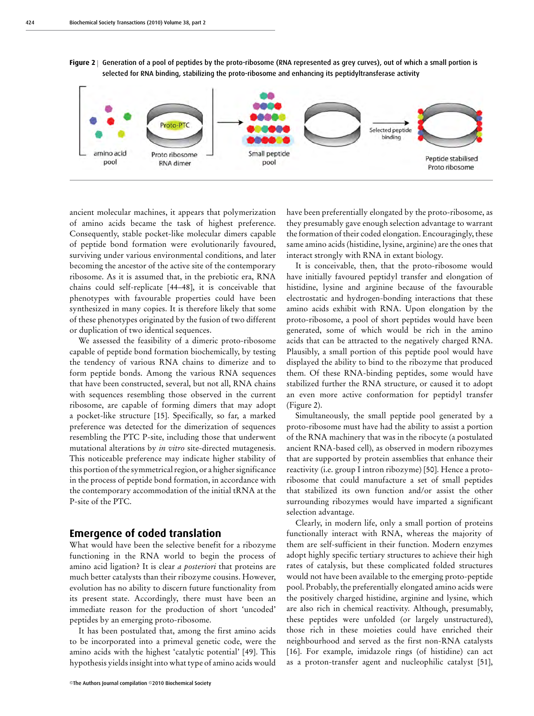Figure 2 Generation of a pool of peptides by the proto-ribosome (RNA represented as grey curves), out of which a small portion is selected for RNA binding, stabilizing the proto-ribosome and enhancing its peptidyltransferase activity



ancient molecular machines, it appears that polymerization of amino acids became the task of highest preference. Consequently, stable pocket-like molecular dimers capable of peptide bond formation were evolutionarily favoured, surviving under various environmental conditions, and later becoming the ancestor of the active site of the contemporary ribosome. As it is assumed that, in the prebiotic era, RNA chains could self-replicate [44–48], it is conceivable that phenotypes with favourable properties could have been synthesized in many copies. It is therefore likely that some of these phenotypes originated by the fusion of two different or duplication of two identical sequences.

We assessed the feasibility of a dimeric proto-ribosome capable of peptide bond formation biochemically, by testing the tendency of various RNA chains to dimerize and to form peptide bonds. Among the various RNA sequences that have been constructed, several, but not all, RNA chains with sequences resembling those observed in the current ribosome, are capable of forming dimers that may adopt a pocket-like structure [15]. Specifically, so far, a marked preference was detected for the dimerization of sequences resembling the PTC P-site, including those that underwent mutational alterations by *in vitro* site-directed mutagenesis. This noticeable preference may indicate higher stability of this portion of the symmetrical region, or a higher significance in the process of peptide bond formation, in accordance with the contemporary accommodation of the initial tRNA at the P-site of the PTC.

### **Emergence of coded translation**

What would have been the selective benefit for a ribozyme functioning in the RNA world to begin the process of amino acid ligation? It is clear *a posteriori* that proteins are much better catalysts than their ribozyme cousins. However, evolution has no ability to discern future functionality from its present state. Accordingly, there must have been an immediate reason for the production of short 'uncoded' peptides by an emerging proto-ribosome.

It has been postulated that, among the first amino acids to be incorporated into a primeval genetic code, were the amino acids with the highest 'catalytic potential' [49]. This hypothesis yields insight into what type of amino acids would

have been preferentially elongated by the proto-ribosome, as they presumably gave enough selection advantage to warrant the formation of their coded elongation. Encouragingly, these same amino acids (histidine, lysine, arginine) are the ones that interact strongly with RNA in extant biology.

It is conceivable, then, that the proto-ribosome would have initially favoured peptidyl transfer and elongation of histidine, lysine and arginine because of the favourable electrostatic and hydrogen-bonding interactions that these amino acids exhibit with RNA. Upon elongation by the proto-ribosome, a pool of short peptides would have been generated, some of which would be rich in the amino acids that can be attracted to the negatively charged RNA. Plausibly, a small portion of this peptide pool would have displayed the ability to bind to the ribozyme that produced them. Of these RNA-binding peptides, some would have stabilized further the RNA structure, or caused it to adopt an even more active conformation for peptidyl transfer (Figure 2).

Simultaneously, the small peptide pool generated by a proto-ribosome must have had the ability to assist a portion of the RNA machinery that was in the ribocyte (a postulated ancient RNA-based cell), as observed in modern ribozymes that are supported by protein assemblies that enhance their reactivity (i.e. group I intron ribozyme) [50]. Hence a protoribosome that could manufacture a set of small peptides that stabilized its own function and/or assist the other surrounding ribozymes would have imparted a significant selection advantage.

Clearly, in modern life, only a small portion of proteins functionally interact with RNA, whereas the majority of them are self-sufficient in their function. Modern enzymes adopt highly specific tertiary structures to achieve their high rates of catalysis, but these complicated folded structures would not have been available to the emerging proto-peptide pool. Probably, the preferentially elongated amino acids were the positively charged histidine, arginine and lysine, which are also rich in chemical reactivity. Although, presumably, these peptides were unfolded (or largely unstructured), those rich in these moieties could have enriched their neighbourhood and served as the first non-RNA catalysts [16]. For example, imidazole rings (of histidine) can act as a proton-transfer agent and nucleophilic catalyst [51],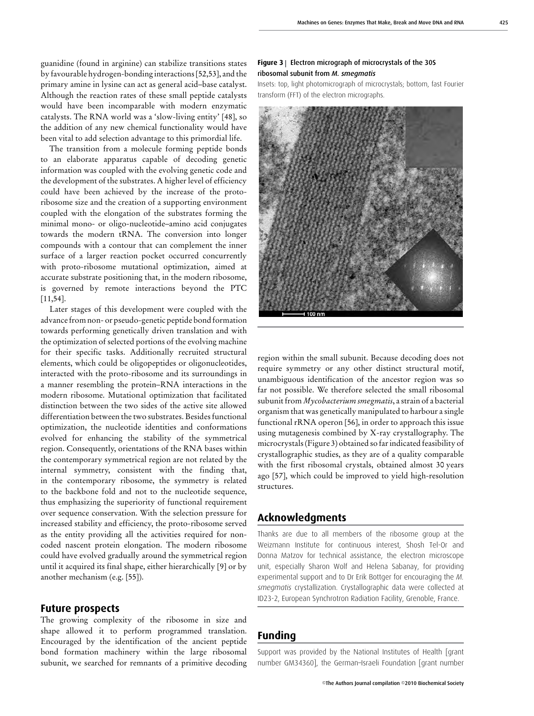guanidine (found in arginine) can stabilize transitions states by favourable hydrogen-bonding interactions [52,53], and the primary amine in lysine can act as general acid–base catalyst. Although the reaction rates of these small peptide catalysts would have been incomparable with modern enzymatic catalysts. The RNA world was a 'slow-living entity' [48], so the addition of any new chemical functionality would have been vital to add selection advantage to this primordial life.

The transition from a molecule forming peptide bonds to an elaborate apparatus capable of decoding genetic information was coupled with the evolving genetic code and the development of the substrates. A higher level of efficiency could have been achieved by the increase of the protoribosome size and the creation of a supporting environment coupled with the elongation of the substrates forming the minimal mono- or oligo-nucleotide–amino acid conjugates towards the modern tRNA. The conversion into longer compounds with a contour that can complement the inner surface of a larger reaction pocket occurred concurrently with proto-ribosome mutational optimization, aimed at accurate substrate positioning that, in the modern ribosome, is governed by remote interactions beyond the PTC [11,54].

Later stages of this development were coupled with the advance from non- or pseudo-genetic peptide bond formation towards performing genetically driven translation and with the optimization of selected portions of the evolving machine for their specific tasks. Additionally recruited structural elements, which could be oligopeptides or oligonucleotides, interacted with the proto-ribosome and its surroundings in a manner resembling the protein–RNA interactions in the modern ribosome. Mutational optimization that facilitated distinction between the two sides of the active site allowed differentiation between the two substrates. Besides functional optimization, the nucleotide identities and conformations evolved for enhancing the stability of the symmetrical region. Consequently, orientations of the RNA bases within the contemporary symmetrical region are not related by the internal symmetry, consistent with the finding that, in the contemporary ribosome, the symmetry is related to the backbone fold and not to the nucleotide sequence, thus emphasizing the superiority of functional requirement over sequence conservation. With the selection pressure for increased stability and efficiency, the proto-ribosome served as the entity providing all the activities required for noncoded nascent protein elongation. The modern ribosome could have evolved gradually around the symmetrical region until it acquired its final shape, either hierarchically [9] or by another mechanism (e.g. [55]).

### **Future prospects**

The growing complexity of the ribosome in size and shape allowed it to perform programmed translation. Encouraged by the identification of the ancient peptide bond formation machinery within the large ribosomal subunit, we searched for remnants of a primitive decoding

#### **Figure 3** | Electron micrograph of microcrystals of the 30S ribosomal subunit from *M. smegmatis*

Insets: top, light photomicrograph of microcrystals; bottom, fast Fourier transform (FFT) of the electron micrographs.



region within the small subunit. Because decoding does not require symmetry or any other distinct structural motif, unambiguous identification of the ancestor region was so far not possible. We therefore selected the small ribosomal subunit from *Mycobacterium smegmatis*, a strain of a bacterial organism that was genetically manipulated to harbour a single functional rRNA operon [56], in order to approach this issue using mutagenesis combined by X-ray crystallography. The microcrystals (Figure 3) obtained so far indicated feasibility of crystallographic studies, as they are of a quality comparable with the first ribosomal crystals, obtained almost 30 years ago [57], which could be improved to yield high-resolution structures.

### **Acknowledgments**

Thanks are due to all members of the ribosome group at the Weizmann Institute for continuous interest, Shosh Tel-Or and Donna Matzov for technical assistance, the electron microscope unit, especially Sharon Wolf and Helena Sabanay, for providing experimental support and to Dr Erik Bottger for encouraging the *M. smegmatis* crystallization. Crystallographic data were collected at ID23-2, European Synchrotron Radiation Facility, Grenoble, France.

## **Funding**

Support was provided by the National Institutes of Health [grant number GM34360], the German–Israeli Foundation [grant number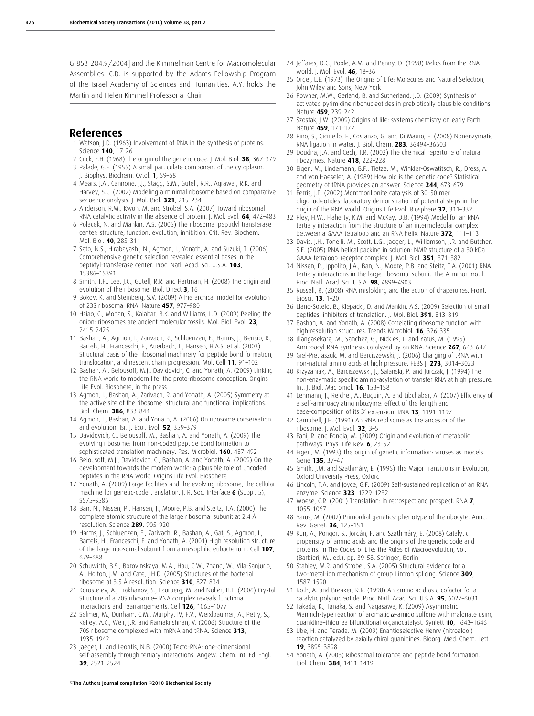G-853-284.9/2004] and the Kimmelman Centre for Macromolecular Assemblies. C.D. is supported by the Adams Fellowship Program of the Israel Academy of Sciences and Humanities. A.Y. holds the Martin and Helen Kimmel Professorial Chair.

#### **References**

- 1 Watson, J.D. (1963) Involvement of RNA in the synthesis of proteins. Science **140**, 17–26
- 2 Crick, F.H. (1968) The origin of the genetic code. J. Mol. Biol. **38**, 367–379 3 Palade, G.E. (1955) A small particulate component of the cytoplasm.
- J. Biophys. Biochem. Cytol. **1**, 59–68 4 Mears, J.A., Cannone, J.J., Stagg, S.M., Gutell, R.R., Agrawal, R.K. and
- Harvey, S.C. (2002) Modeling a minimal ribosome based on comparative sequence analysis. J. Mol. Biol. **321**, 215–234
- 5 Anderson, R.M., Kwon, M. and Strobel, S.A. (2007) Toward ribosomal RNA catalytic activity in the absence of protein. J. Mol. Evol. **64**, 472–483
- 6 Polacek, N. and Mankin, A.S. (2005) The ribosomal peptidyl transferase center: structure, function, evolution, inhibition. Crit. Rev. Biochem. Mol. Biol. **40**, 285–311
- 7 Sato, N.S., Hirabayashi, N., Agmon, I., Yonath, A. and Suzuki, T. (2006) Comprehensive genetic selection revealed essential bases in the peptidyl-transferase center. Proc. Natl. Acad. Sci. U.S.A. **103**, 15386–15391
- 8 Smith, T.F., Lee, J.C., Gutell, R.R. and Hartman, H. (2008) The origin and evolution of the ribosome. Biol. Direct **3**, 16
- 9 Bokov, K. and Steinberg, S.V. (2009) A hierarchical model for evolution of 23S ribosomal RNA. Nature **457**, 977–980
- 10 Hsiao, C., Mohan, S., Kalahar, B.K. and Williams, L.D. (2009) Peeling the onion: ribosomes are ancient molecular fossils. Mol. Biol. Evol. **23**, 2415–2425
- 11 Bashan, A., Agmon, I., Zarivach, R., Schluenzen, F., Harms, J., Berisio, R., Bartels, H., Franceschi, F., Auerbach, T., Hansen, H.A.S. et al. (2003) Structural basis of the ribosomal machinery for peptide bond formation, translocation, and nascent chain progression. Mol. Cell **11**, 91–102
- 12 Bashan, A., Belousoff, M.J., Davidovich, C. and Yonath, A. (2009) Linking the RNA world to modern life: the proto-ribosome conception. Origins Life Evol. Biosphere, in the press
- 13 Agmon, I., Bashan, A., Zarivach, R. and Yonath, A. (2005) Symmetry at the active site of the ribosome: structural and functional implications. Biol. Chem. **386**, 833–844
- 14 Agmon, I., Bashan, A. and Yonath, A. (2006) On ribosome conservation and evolution. Isr. J. Ecol. Evol. **52**, 359–379
- 15 Davidovich, C., Belousoff, M., Bashan, A. and Yonath, A. (2009) The evolving ribosome: from non-coded peptide bond formation to sophisticated translation machinery. Res. Microbiol. **160**, 487–492
- 16 Belousoff, M.J., Davidovich, C., Bashan, A. and Yonath, A. (2009) On the development towards the modern world: a plausible role of uncoded peptides in the RNA world. Origins Life Evol. Biosphere
- 17 Yonath, A. (2009) Large facilities and the evolving ribosome, the cellular machine for genetic-code translation. J. R. Soc. Interface **6** (Suppl. 5), S575–S585
- 18 Ban, N., Nissen, P., Hansen, J., Moore, P.B. and Steitz, T.A. (2000) The complete atomic structure of the large ribosomal subunit at 2.4 Å resolution. Science **289**, 905–920
- 19 Harms, J., Schluenzen, F., Zarivach, R., Bashan, A., Gat, S., Agmon, I., Bartels, H., Franceschi, F. and Yonath, A. (2001) High resolution structure of the large ribosomal subunit from a mesophilic eubacterium. Cell **107**, 679–688
- 20 Schuwirth, B.S., Borovinskaya, M.A., Hau, C.W., Zhang, W., Vila-Sanjurjo, A., Holton, J.M. and Cate, J.H.D. (2005) Structures of the bacterial ribosome at 3.5 Å resolution. Science **310**, 827–834
- 21 Korostelev, A., Trakhanov, S., Laurberg, M. and Noller, H.F. (2006) Crystal Structure of a 70S ribosome–tRNA complex reveals functional interactions and rearrangements. Cell **126**, 1065–1077
- 22 Selmer, M., Dunham, C.M., Murphy, IV, F.V., Weixlbaumer, A., Petry, S., Kelley, A.C., Weir, J.R. and Ramakrishnan, V. (2006) Structure of the 70S ribosome complexed with mRNA and tRNA. Science **313**, 1935–1942
- 23 Jaeger, L. and Leontis, N.B. (2000) Tecto-RNA: one-dimensional self-assembly through tertiary interactions. Angew. Chem. Int. Ed. Engl. **39**, 2521–2524
- 24 Jeffares, D.C., Poole, A.M. and Penny, D. (1998) Relics from the RNA world. J. Mol. Evol. **46**, 18–36
- 25 Orgel, L.E. (1973) The Origins of Life: Molecules and Natural Selection, John Wiley and Sons, New York
- 26 Powner, M.W., Gerland, B. and Sutherland, J.D. (2009) Synthesis of activated pyrimidine ribonucleotides in prebiotically plausible conditions. Nature **459**, 239–242
- 27 Szostak, J.W. (2009) Origins of life: systems chemistry on early Earth. Nature **459**, 171–172
- 28 Pino, S., Ciciriello, F., Costanzo, G. and Di Mauro, E. (2008) Nonenzymatic RNA ligation in water. J. Biol. Chem. **283**, 36494–36503
- 29 Doudna, J.A. and Cech, T.R. (2002) The chemical repertoire of natural ribozymes. Nature **418**, 222–228
- 30 Eigen, M., Lindemann, B.F., Tietze, M., Winkler-Oswatitsch, R., Dress, A. and von Haeseler, A. (1989) How old is the genetic code? Statistical geometry of tRNA provides an answer. Science **244**, 673–679
- 31 Ferris, J.P. (2002) Montmorillonite catalysis of 30–50 mer oligonucleotides: laboratory demonstration of potential steps in the origin of the RNA world. Origins Life Evol. Biosphere **32**, 311–332
- 32 Pley, H.W., Flaherty, K.M. and McKay, D.B. (1994) Model for an RNA tertiary interaction from the structure of an intermolecular complex between a GAAA tetraloop and an RNA helix. Nature **372**, 111–113
- 33 Davis, J.H., Tonelli, M., Scott, L.G., Jaeger, L., Williamson, J.R. and Butcher, S.E. (2005) RNA helical packing in solution: NMR structure of a 30 kDa GAAA tetraloop–receptor complex. J. Mol. Biol. **351**, 371–382
- 34 Nissen, P., Ippolito, J.A., Ban, N., Moore, P.B. and Steitz, T.A. (2001) RNA tertiary interactions in the large ribosomal subunit: the A-minor motif. Proc. Natl. Acad. Sci. U.S.A. **98**, 4899–4903
- 35 Russell, R. (2008) RNA misfolding and the action of chaperones. Front. Biosci. **13**, 1–20
- 36 Llano-Sotelo, B., Klepacki, D. and Mankin, A.S. (2009) Selection of small peptides, inhibitors of translation. J. Mol. Biol. **391**, 813–819
- 37 Bashan, A. and Yonath, A. (2008) Correlating ribosome function with high-resolution structures. Trends Microbiol. **16**, 326–335
- 38 Illangasekare, M., Sanchez, G., Nickles, T. and Yarus, M. (1995) Aminoacyl-RNA synthesis catalyzed by an RNA. Science **267**, 643–647
- 39 Giel-Pietraszuk, M. and Barciszewski, J. (2006) Charging of tRNA with non-natural amino acids at high pressure. FEBS J. **273**, 3014–3023
- 40 Krzyzaniak, A., Barciszewski, J., Salanski, P. and Jurczak, J. (1994) The non-enzymatic specific amino-acylation of transfer RNA at high pressure. Int. J. Biol. Macromol. **16**, 153–158
- 41 Lehmann, J., Reichel, A., Buguin, A. and Libchaber, A. (2007) Efficiency of a self-aminoacylating ribozyme: effect of the length and base-composition of its 3' extension. RNA 13, 1191–1197
- 42 Campbell, J.H. (1991) An RNA replisome as the ancestor of the ribosome. J. Mol. Evol. **32**, 3–5
- 43 Fani, R. and Fondia, M. (2009) Origin and evolution of metabolic pathways. Phys. Life Rev. **6**, 23–52
- 44 Eigen, M. (1993) The origin of genetic information: viruses as models. Gene **135**, 37–47
- 45 Smith, J.M. and Szathmáry, E. (1995) The Major Transitions in Evolution, Oxford University Press, Oxford
- 46 Lincoln, T.A. and Joyce, G.F. (2009) Self-sustained replication of an RNA enzyme. Science **323**, 1229–1232
- 47 Woese, C.R. (2001) Translation: in retrospect and prospect. RNA **7**, 1055–1067
- 48 Yarus, M. (2002) Primordial genetics: phenotype of the ribocyte. Annu. Rev. Genet. **36**, 125–151
- 49 Kun, A., Pongor, S., Jordán, F. and Szathmáry, E. (2008) Catalytic propensity of amino acids and the origins of the genetic code and proteins. in The Codes of Life: the Rules of Macroevolution, vol. 1 (Barbieri, M., ed.), pp. 39–58, Springer, Berlin
- 50 Stahley, M.R. and Strobel, S.A. (2005) Structural evidence for a two-metal-ion mechanism of group I intron splicing. Science **309**, 1587–1590
- 51 Roth, A. and Breaker, R.R. (1998) An amino acid as a cofactor for a catalytic polynucleotide. Proc. Natl. Acad. Sci. U.S.A. **95**, 6027–6031
- 52 Takada, K., Tanaka, S. and Nagasawa, K. (2009) Asymmetric Mannich-type reaction of aromatic  $\alpha$ -amido sulfone with malonate using guanidine–thiourea bifunctional organocatalyst. Synlett **10**, 1643–1646
- 53 Ube, H. and Terada, M. (2009) Enantioselective Henry (nitroaldol) reaction catalyzed by axially chiral guanidines. Bioorg. Med. Chem. Lett. **19**, 3895–3898
- 54 Yonath, A. (2003) Ribosomal tolerance and peptide bond formation. Biol. Chem. **384**, 1411–1419